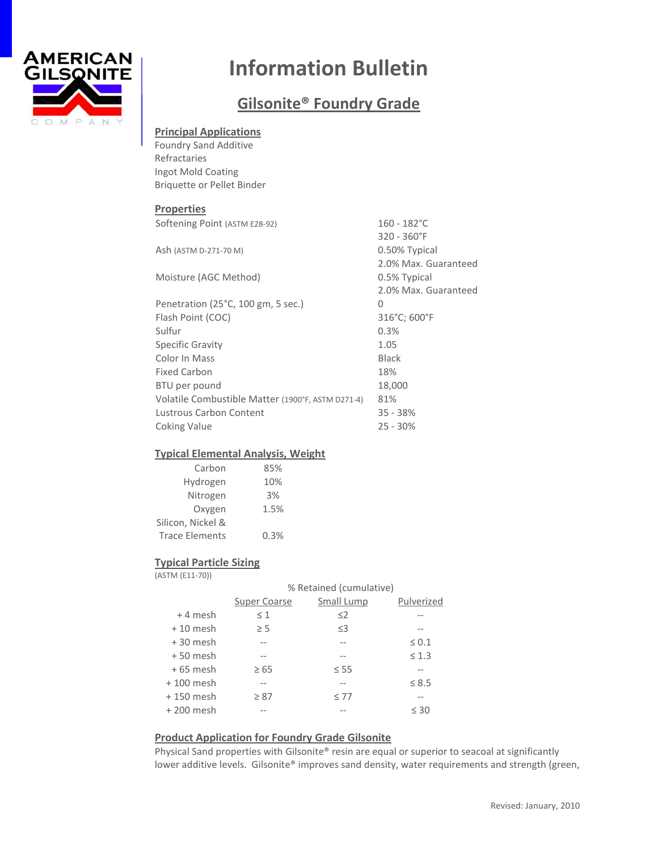

# **Information Bulletin**

## **Gilsonite® Foundry Grade**

## **Principal Applications**

Foundry Sand Additive Refractaries Ingot Mold Coating Briquette or Pellet Binder

#### **Properties**

| Softening Point (ASTM E28-92)                     | $160 - 182^{\circ}$ C |  |
|---------------------------------------------------|-----------------------|--|
|                                                   | $320 - 360$ °F        |  |
| Ash (ASTM D-271-70 M)                             | 0.50% Typical         |  |
|                                                   | 2.0% Max. Guaranteed  |  |
| Moisture (AGC Method)                             | 0.5% Typical          |  |
|                                                   | 2.0% Max. Guaranteed  |  |
| Penetration (25°C, 100 gm, 5 sec.)                | 0                     |  |
| Flash Point (COC)                                 | 316°C; 600°F          |  |
| Sulfur                                            | 0.3%                  |  |
| Specific Gravity                                  | 1.05                  |  |
| Color In Mass                                     | <b>Black</b>          |  |
| Fixed Carbon                                      | 18%                   |  |
| BTU per pound                                     | 18,000                |  |
| Volatile Combustible Matter (1900°F, ASTM D271-4) | 81%                   |  |
| <b>Lustrous Carbon Content</b>                    | $35 - 38%$            |  |
| <b>Coking Value</b>                               | $25 - 30%$            |  |

## **Typical Elemental Analysis, Weight**

| Carbon                | 85%  |
|-----------------------|------|
| Hydrogen              | 10%  |
| Nitrogen              | 3%   |
| Oxygen                | 1.5% |
| Silicon, Nickel &     |      |
| <b>Trace Elements</b> | 0.3% |

## **Typical Particle Sizing**

(ASTM (E11-70))

|             | % Retained (cumulative) |            |            |  |
|-------------|-------------------------|------------|------------|--|
|             | Super Coarse            | Small Lump | Pulverized |  |
| $+4$ mesh   | $\leq 1$                | $\leq$ 2   |            |  |
| $+10$ mesh  | $\geq$ 5                | $\leq$ 3   |            |  |
| $+30$ mesh  |                         |            | $\leq 0.1$ |  |
| $+50$ mesh  | $- -$                   |            | $\leq 1.3$ |  |
| $+65$ mesh  | $\geq 65$               | $\leq$ 55  |            |  |
| $+100$ mesh |                         |            | $\leq 8.5$ |  |
| $+150$ mesh | $\geq 87$               | $\leq 77$  |            |  |
| $+200$ mesh |                         |            | $\leq 30$  |  |
|             |                         |            |            |  |

## **Product Application for Foundry Grade Gilsonite**

Physical Sand properties with Gilsonite® resin are equal or superior to seacoal at significantly lower additive levels. Gilsonite® improves sand density, water requirements and strength (green,